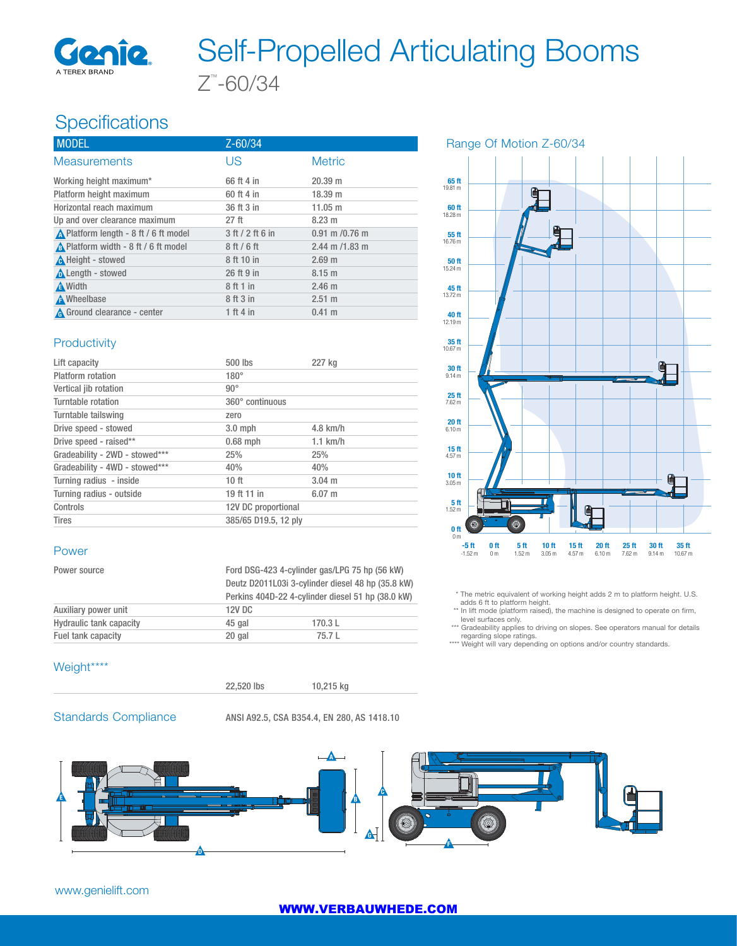

# Z™ -60/34 Self-Propelled Articulating Booms

# Specifications

| <b>MODEL</b>                          | $Z - 60/34$      |                    |
|---------------------------------------|------------------|--------------------|
| <b>Measurements</b>                   | US               | <b>Metric</b>      |
| Working height maximum*               | 66 ft 4 in       | 20.39 m            |
| Platform height maximum               | 60 ft 4 in       | 18.39 m            |
| Horizontal reach maximum              | 36 ft 3 in       | 11.05 m            |
| Up and over clearance maximum         | 27 <sub>ft</sub> | 8.23 m             |
| ∧ Platform length - 8 ft / 6 ft model | 3 ft / 2 ft 6 in | $0.91$ m $/0.76$ m |
| A Platform width - 8 ft / 6 ft model  | 8ft/6ft          | $2.44$ m $/1.83$ m |
| A Height - stowed                     | 8 ft 10 in       | 2.69 m             |
| Length - stowed                       | 26 ft 9 in       | $8.15 \text{ m}$   |
| <b>A</b> Width                        | 8 ft 1 in        | 2.46 <sub>m</sub>  |
| A Wheelbase                           | 8 ft 3 in        | $2.51 \text{ m}$   |
| A Ground clearance - center           | 1 ft 4 in        | $0.41 \; m$        |

#### **Productivity**

| Lift capacity                  | 500 lbs              | 227 kg      |  |
|--------------------------------|----------------------|-------------|--|
| Platform rotation              | $180^\circ$          |             |  |
| Vertical jib rotation          | $90^{\circ}$         |             |  |
| Turntable rotation             | 360° continuous      |             |  |
| Turntable tailswing            | zero                 |             |  |
| Drive speed - stowed           | $3.0$ mph            | $4.8$ km/h  |  |
| Drive speed - raised**         | $0.68$ mph           | $1.1$ km/h  |  |
| Gradeability - 2WD - stowed*** | 25%                  | 25%         |  |
| Gradeability - 4WD - stowed*** | 40%                  | 40%         |  |
| Turning radius - inside        | 10ft                 | $3.04 \; m$ |  |
| Turning radius - outside       | 19 ft 11 in          | $6.07 \; m$ |  |
| Controls                       | 12V DC proportional  |             |  |
| <b>Tires</b>                   | 385/65 D19.5, 12 ply |             |  |

#### Power

| Power source                   | Ford DSG-423 4-cylinder gas/LPG 75 hp (56 kW)<br>Deutz D2011L03i 3-cylinder diesel 48 hp (35.8 kW)<br>Perkins 404D-22 4-cylinder diesel 51 hp (38.0 kW) |        |
|--------------------------------|---------------------------------------------------------------------------------------------------------------------------------------------------------|--------|
| Auxiliary power unit           | 12V DC                                                                                                                                                  |        |
| <b>Hydraulic tank capacity</b> | 45 gal                                                                                                                                                  | 170.3L |
| Fuel tank capacity             | 20 gal                                                                                                                                                  | 75.7 L |

#### Weight\*\*\*\*



Standards Compliance ANSI A92.5, CSA B354.4, EN 280, AS 1418.10



#### Range Of Motion Z-60/34



\* The metric equivalent of working height adds 2 m to platform height. U.S.

adds 6 ft to platform height. \*\* In lift mode (platform raised), the machine is designed to operate on firm,

level surfaces only. \*\*\* Gradeability applies to driving on slopes. See operators manual for details

regarding slope ratings. \*\*\*\* Weight will vary depending on options and/or country standards.

#### www.genielift.com

#### WWW.VERBAUWHEDE.COM